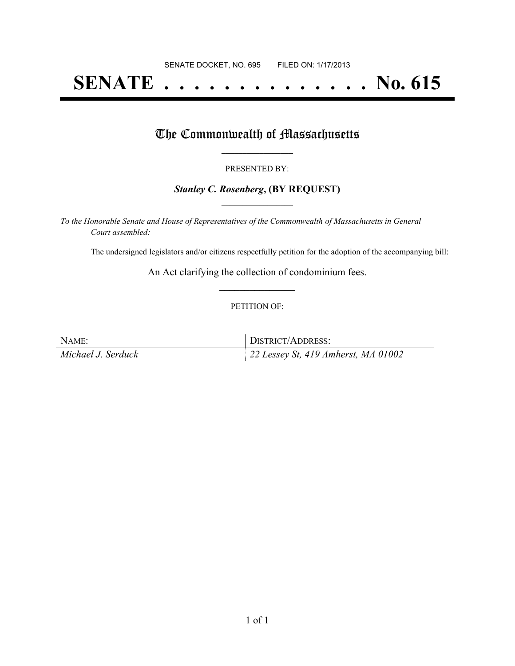# **SENATE . . . . . . . . . . . . . . No. 615**

### The Commonwealth of Massachusetts

#### PRESENTED BY:

#### *Stanley C. Rosenberg***, (BY REQUEST) \_\_\_\_\_\_\_\_\_\_\_\_\_\_\_\_\_**

*To the Honorable Senate and House of Representatives of the Commonwealth of Massachusetts in General Court assembled:*

The undersigned legislators and/or citizens respectfully petition for the adoption of the accompanying bill:

An Act clarifying the collection of condominium fees. **\_\_\_\_\_\_\_\_\_\_\_\_\_\_\_**

#### PETITION OF:

NAME: DISTRICT/ADDRESS: *Michael J. Serduck 22 Lessey St, 419 Amherst, MA 01002*